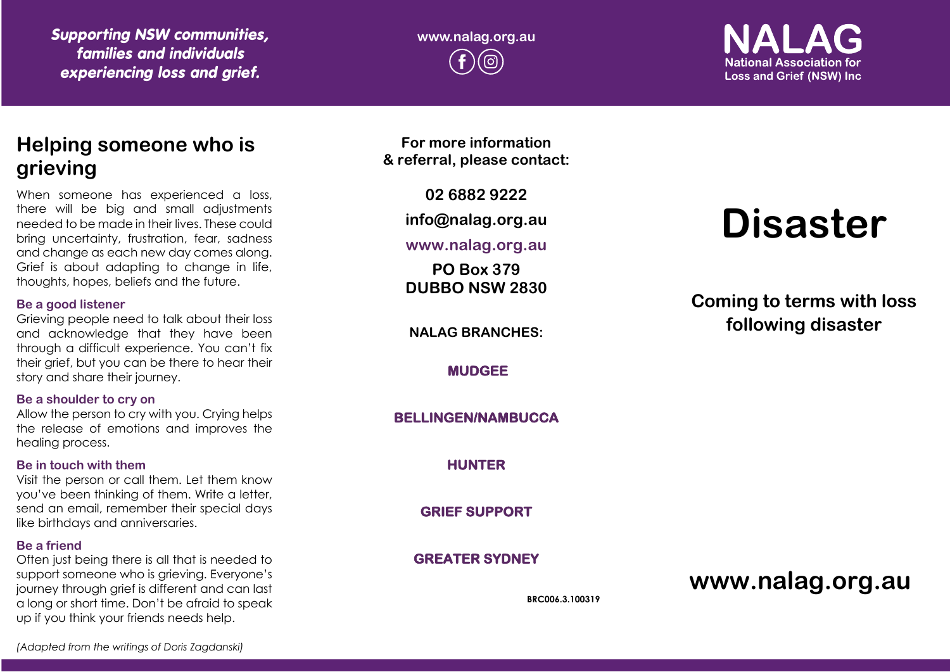*Supporting NSW communities, families and individuals experiencing loss and grief.*

**www.nalag.org.au**

**National Association for Loss and Grief (NSW) Inc.** 

## **Helping someone who is grieving**

When someone has experienced a loss, there will be big and small adjustments needed to be made in their lives. These could bring uncertainty, frustration, fear, sadness and change as each new day comes along. Grief is about adapting to change in life, thoughts, hopes, beliefs and the future.

#### **Be a good listener**

Grieving people need to talk about their loss and acknowledge that they have been through a difficult experience. You can't fix their grief, but you can be there to hear their story and share their journey.

#### **Be a shoulder to cry on**

Allow the person to cry with you. Crying helps the release of emotions and improves the healing process.

#### **Be in touch with them**

Visit the person or call them. Let them know you've been thinking of them. Write a letter, send an email, remember their special days like birthdays and anniversaries.

#### **Be a friend**

Often just being there is all that is needed to support someone who is grieving. Everyone's journey through grief is different and can last a long or short time. Don't be afraid to speak up if you think your friends needs help.

**For more information & referral, please contact:**

**02 6882 9222**

**info@nalag.org.au**

## **www.nalag.org.au**

**PO Box 379 DUBBO NSW 2830**

**NALAG BRANCHES:**

**MUDGEE** 

**BELLINGEN/NAMBUCCA** 

**HUNTER** 

**GRIEF SUPPORT** 

**GREATER SYDNEY** 

**BRC006.3.100319**

# **Disaster**

**Coming to terms with loss following disaster**

**www.nalag.org.au**

*(Adapted from the writings of Doris Zagdanski)*